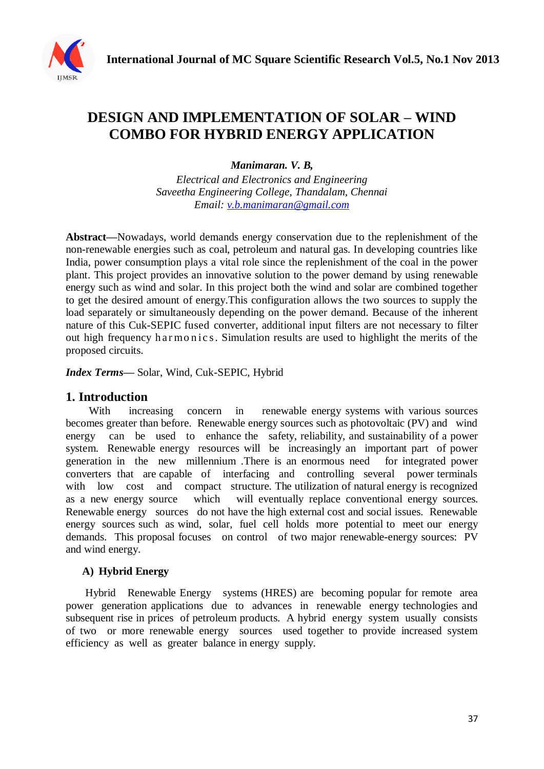

# **DESIGN AND IMPLEMENTATION OF SOLAR – WIND COMBO FOR HYBRID ENERGY APPLICATION**

*Manimaran. V. B,*

*Electrical and Electronics and Engineering Saveetha Engineering College, Thandalam, Chennai Email: [v.b.manimaran@gmail.com](mailto:v.b.manimaran@gmail.com)*

**Abstract***—*Nowadays, world demands energy conservation due to the replenishment of the non-renewable energies such as coal, petroleum and natural gas. In developing countries like India, power consumption plays a vital role since the replenishment of the coal in the power plant. This project provides an innovative solution to the power demand by using renewable energy such as wind and solar. In this project both the wind and solar are combined together to get the desired amount of energy.This configuration allows the two sources to supply the load separately or simultaneously depending on the power demand. Because of the inherent nature of this Cuk-SEPIC fused converter, additional input filters are not necessary to filter out high frequency harmonics. Simulation results are used to highlight the merits of the proposed circuits.

*Index Terms***—** Solar, Wind, Cuk-SEPIC, Hybrid

## **1. Introduction**

With increasing concern in renewable energy systems with various sources becomes greater than before. Renewable energy sources such as photovoltaic (PV) and wind energy can be used to enhance the safety, reliability, and sustainability of a power system. Renewable energy resources will be increasingly an important part of power generation in the new millennium .There is an enormous need for integrated power converters that are capable of interfacing and controlling several power terminals with low cost and compact structure. The utilization of natural energy is recognized as a new energy source which will eventually replace conventional energy sources. Renewable energy sources do not have the high external cost and social issues. Renewable energy sources such as wind, solar, fuel cell holds more potential to meet our energy demands. This proposal focuses on control of two major renewable-energy sources: PV and wind energy.

#### **A) Hybrid Energy**

Hybrid Renewable Energy systems (HRES) are becoming popular for remote area power generation applications due to advances in renewable energy technologies and subsequent rise in prices of petroleum products. A hybrid energy system usually consists of two or more renewable energy sources used together to provide increased system efficiency as well as greater balance in energy supply.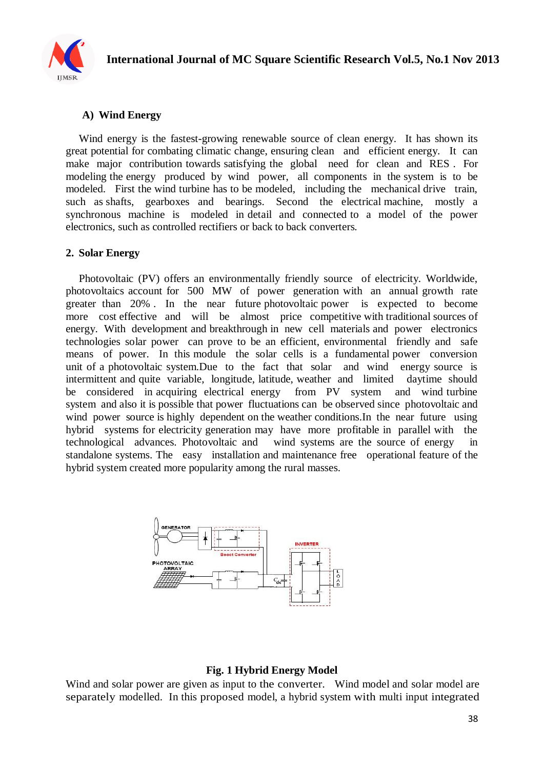

# **A) Wind Energy**

Wind energy is the fastest-growing renewable source of clean energy. It has shown its great potential for combating climatic change, ensuring clean and efficient energy. It can make major contribution towards satisfying the global need for clean and RES . For modeling the energy produced by wind power, all components in the system is to be modeled. First the wind turbine has to be modeled, including the mechanical drive train, such as shafts, gearboxes and bearings. Second the electrical machine, mostly a synchronous machine is modeled in detail and connected to a model of the power electronics, such as controlled rectifiers or back to back converters.

#### **2. Solar Energy**

Photovoltaic (PV) offers an environmentally friendly source of electricity. Worldwide, photovoltaics account for 500 MW of power generation with an annual growth rate greater than 20% . In the near future photovoltaic power is expected to become more cost effective and will be almost price competitive with traditional sources of energy. With development and breakthrough in new cell materials and power electronics technologies solar power can prove to be an efficient, environmental friendly and safe means of power. In this module the solar cells is a fundamental power conversion unit of a photovoltaic system.Due to the fact that solar and wind energy source is intermittent and quite variable, longitude, latitude, weather and limited daytime should be considered in acquiring electrical energy from PV system and wind turbine system and also it is possible that power fluctuations can be observed since photovoltaic and wind power source is highly dependent on the weather conditions. In the near future using hybrid systems for electricity generation may have more profitable in parallel with the technological advances. Photovoltaic and wind systems are the source of energy in standalone systems. The easy installation and maintenance free operational feature of the hybrid system created more popularity among the rural masses.



#### **Fig. 1 Hybrid Energy Model**

Wind and solar power are given as input to the converter. Wind model and solar model are separately modelled. In this proposed model, a hybrid system with multi input integrated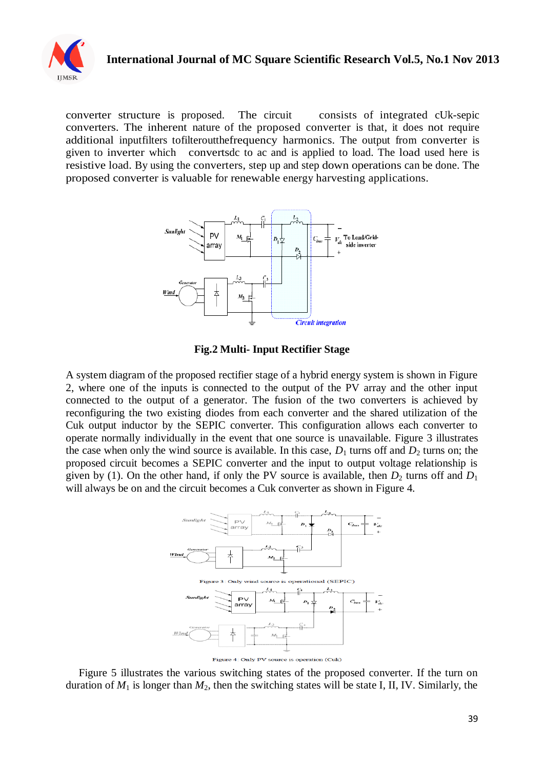

# **International Journal of MC Square Scientific Research Vol.5, No.1 Nov 2013**

converter structure is proposed. The circuit consists of integrated cUk-sepic converters. The inherent nature of the proposed converter is that, it does not require additional inputfilters tofilteroutthefrequency harmonics. The output from converter is given to inverter which convertsdc to ac and is applied to load. The load used here is resistive load. By using the converters, step up and step down operations can be done. The proposed converter is valuable for renewable energy harvesting applications.



**Fig.2 Multi- Input Rectifier Stage**

A system diagram of the proposed rectifier stage of a hybrid energy system is shown in Figure 2, where one of the inputs is connected to the output of the PV array and the other input connected to the output of a generator. The fusion of the two converters is achieved by reconfiguring the two existing diodes from each converter and the shared utilization of the Cuk output inductor by the SEPIC converter. This configuration allows each converter to operate normally individually in the event that one source is unavailable. Figure 3 illustrates the case when only the wind source is available. In this case,  $D_1$  turns off and  $D_2$  turns on; the proposed circuit becomes a SEPIC converter and the input to output voltage relationship is given by (1). On the other hand, if only the PV source is available, then  $D_2$  turns off and  $D_1$ will always be on and the circuit becomes a Cuk converter as shown in Figure 4.



Figure 5 illustrates the various switching states of the proposed converter. If the turn on duration of  $M_1$  is longer than  $M_2$ , then the switching states will be state I, II, IV. Similarly, the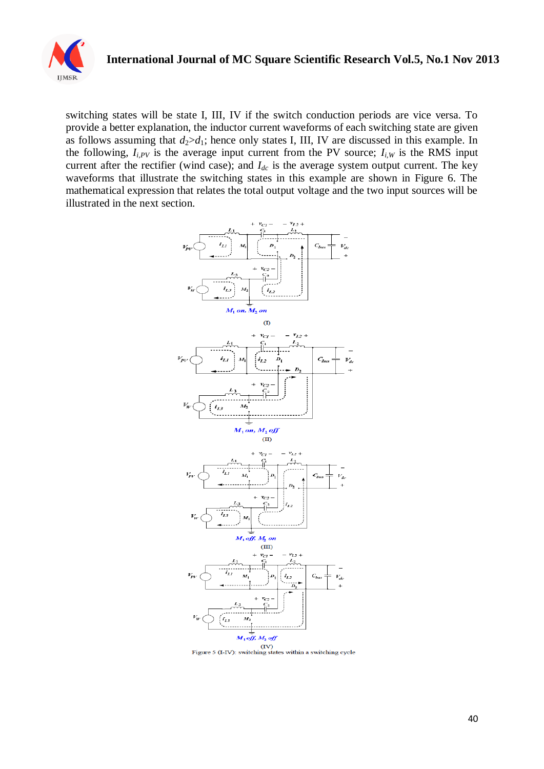

# **International Journal of MC Square Scientific Research Vol.5, No.1 Nov 2013**

switching states will be state I, III, IV if the switch conduction periods are vice versa. To provide a better explanation, the inductor current waveforms of each switching state are given as follows assuming that  $d_2>d_1$ ; hence only states I, III, IV are discussed in this example. In the following,  $I_{i,PV}$  is the average input current from the PV source;  $I_{i,W}$  is the RMS input current after the rectifier (wind case); and *Idc* is the average system output current. The key waveforms that illustrate the switching states in this example are shown in Figure 6. The mathematical expression that relates the total output voltage and the two input sources will be illustrated in the next section.



Figure 5 (I-IV): switching states within a switching cycle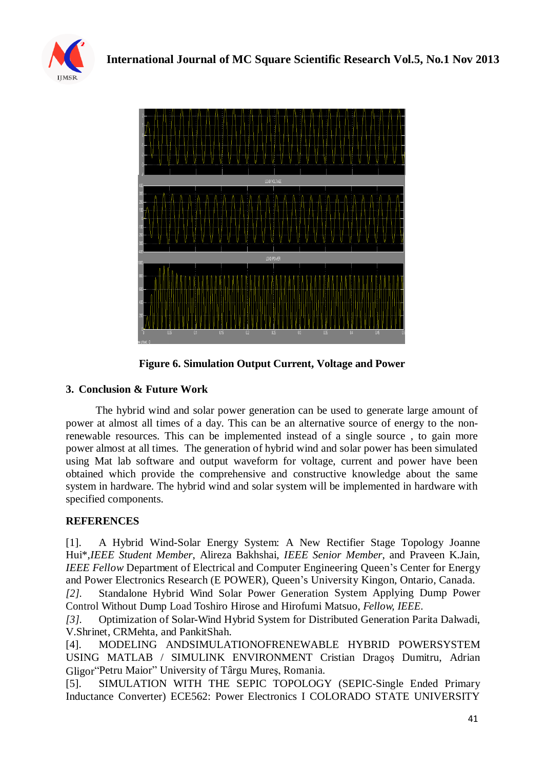



**Figure 6. Simulation Output Current, Voltage and Power**

## **3. Conclusion & Future Work**

 The hybrid wind and solar power generation can be used to generate large amount of power at almost all times of a day. This can be an alternative source of energy to the nonrenewable resources. This can be implemented instead of a single source , to gain more power almost at all times. The generation of hybrid wind and solar power has been simulated using Mat lab software and output waveform for voltage, current and power have been obtained which provide the comprehensive and constructive knowledge about the same system in hardware. The hybrid wind and solar system will be implemented in hardware with specified components.

## **REFERENCES**

[1]. A Hybrid Wind-Solar Energy System: A New Rectifier Stage Topology Joanne Hui\*,*IEEE Student Member*, Alireza Bakhshai, *IEEE Senior Member*, and Praveen K.Jain, *IEEE Fellow* Department of Electrical and Computer Engineering Queen's Center for Energy and Power Electronics Research (E POWER), Queen's University Kingon, Ontario, Canada.

*[2].* Standalone Hybrid Wind Solar Power Generation System Applying Dump Power Control Without Dump Load Toshiro Hirose and Hirofumi Matsuo, *Fellow, IEEE.*

*[3].* Optimization of Solar-Wind Hybrid System for Distributed Generation Parita Dalwadi, V.Shrinet, CRMehta, and PankitShah.

[4]. MODELING ANDSIMULATIONOFRENEWABLE HYBRID POWERSYSTEM USING MATLAB / SIMULINK ENVIRONMENT Cristian Dragoş Dumitru, Adrian Gligor"Petru Maior" University of Târgu Mureş, Romania.

[5]. SIMULATION WITH THE SEPIC TOPOLOGY (SEPIC-Single Ended Primary Inductance Converter) ECE562: Power Electronics I COLORADO STATE UNIVERSITY